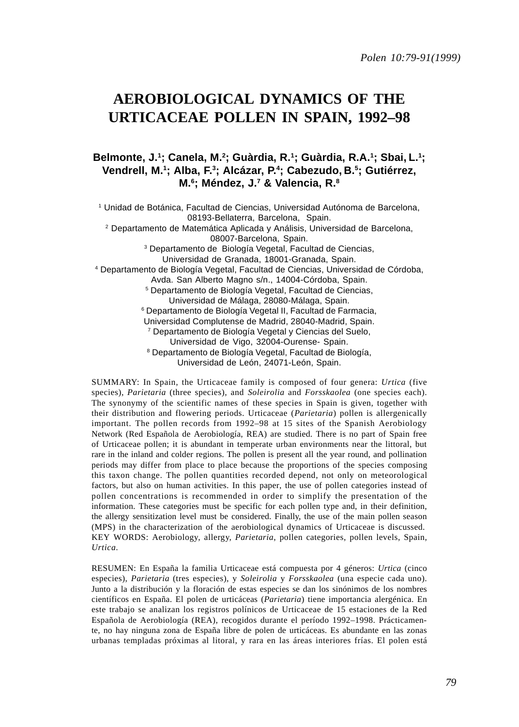# **AEROBIOLOGICAL DYNAMICS OF THE URTICACEAE POLLEN IN SPAIN, 1992–98**

# Belmonte, J.<sup>1</sup>; Canela, M.<sup>2</sup>; Guàrdia, R.<sup>1</sup>; Guàrdia, R.A.<sup>1</sup>; Sbai, L.<sup>1</sup>; **Vendrell, M.1 ; Alba, F.3 ; Alcázar, P.4 ; Cabezudo, B.5 ; Gutiérrez, M.6 ; Méndez, J.7 & Valencia, R.8**

1 Unidad de Botánica, Facultad de Ciencias, Universidad Autónoma de Barcelona, 08193-Bellaterra, Barcelona, Spain. 2 Departamento de Matemática Aplicada y Análisis, Universidad de Barcelona, 08007-Barcelona, Spain. 3 Departamento de Biología Vegetal, Facultad de Ciencias, Universidad de Granada, 18001-Granada, Spain. 4 Departamento de Biología Vegetal, Facultad de Ciencias, Universidad de Córdoba, Avda. San Alberto Magno s/n., 14004-Córdoba, Spain. 5 Departamento de Biología Vegetal, Facultad de Ciencias, Universidad de Málaga, 28080-Málaga, Spain. 6 Departamento de Biología Vegetal II, Facultad de Farmacia, Universidad Complutense de Madrid, 28040-Madrid, Spain. 7 Departamento de Biología Vegetal y Ciencias del Suelo, Universidad de Vigo, 32004-Ourense- Spain. 8 Departamento de Biología Vegetal, Facultad de Biología, Universidad de León, 24071-León, Spain.

SUMMARY: In Spain, the Urticaceae family is composed of four genera: *Urtica* (five species), *Parietaria* (three species), and *Soleirolia* and *Forsskaolea* (one species each). The synonymy of the scientific names of these species in Spain is given, together with their distribution and flowering periods. Urticaceae (*Parietaria*) pollen is allergenically important. The pollen records from 1992–98 at 15 sites of the Spanish Aerobiology Network (Red Española de Aerobiología, REA) are studied. There is no part of Spain free of Urticaceae pollen; it is abundant in temperate urban environments near the littoral, but rare in the inland and colder regions. The pollen is present all the year round, and pollination periods may differ from place to place because the proportions of the species composing this taxon change. The pollen quantities recorded depend, not only on meteorological factors, but also on human activities. In this paper, the use of pollen categories instead of pollen concentrations is recommended in order to simplify the presentation of the information. These categories must be specific for each pollen type and, in their definition, the allergy sensitization level must be considered. Finally, the use of the main pollen season (MPS) in the characterization of the aerobiological dynamics of Urticaceae is discussed. KEY WORDS: Aerobiology, allergy, *Parietaria*, pollen categories, pollen levels, Spain, *Urtica*.

RESUMEN: En España la familia Urticaceae está compuesta por 4 géneros: *Urtica* (cinco especies), *Parietaria* (tres especies), y *Soleirolia* y *Forsskaolea* (una especie cada uno). Junto a la distribución y la floración de estas especies se dan los sinónimos de los nombres científicos en España. El polen de urticáceas (*Parietaria*) tiene importancia alergénica. En este trabajo se analizan los registros polínicos de Urticaceae de 15 estaciones de la Red Española de Aerobiología (REA), recogidos durante el período 1992–1998. Prácticamente, no hay ninguna zona de España libre de polen de urticáceas. Es abundante en las zonas urbanas templadas próximas al litoral, y rara en las áreas interiores frías. El polen está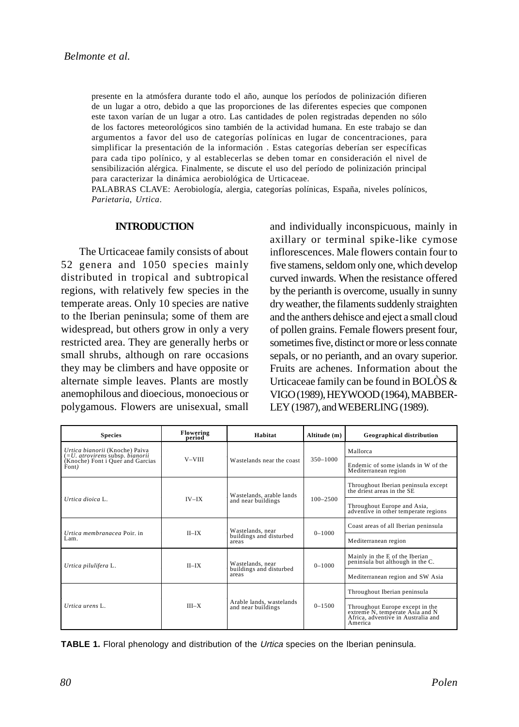presente en la atmósfera durante todo el año, aunque los períodos de polinización difieren de un lugar a otro, debido a que las proporciones de las diferentes especies que componen este taxon varían de un lugar a otro. Las cantidades de polen registradas dependen no sólo de los factores meteorológicos sino también de la actividad humana. En este trabajo se dan argumentos a favor del uso de categorías polínicas en lugar de concentraciones, para simplificar la presentación de la información . Estas categorías deberían ser específicas para cada tipo polínico, y al establecerlas se deben tomar en consideración el nivel de sensibilización alérgica. Finalmente, se discute el uso del período de polinización principal para caracterizar la dinámica aerobiológica de Urticaceae.

PALABRAS CLAVE: Aerobiología, alergia, categorías polínicas, España, niveles polínicos, *Parietaria*, *Urtica*.

#### **INTRODUCTION**

The Urticaceae family consists of about 52 genera and 1050 species mainly distributed in tropical and subtropical regions, with relatively few species in the temperate areas. Only 10 species are native to the Iberian peninsula; some of them are widespread, but others grow in only a very restricted area. They are generally herbs or small shrubs, although on rare occasions they may be climbers and have opposite or alternate simple leaves. Plants are mostly anemophilous and dioecious, monoecious or polygamous. Flowers are unisexual, small

and individually inconspicuous, mainly in axillary or terminal spike-like cymose inflorescences. Male flowers contain four to five stamens, seldom only one, which develop curved inwards. When the resistance offered by the perianth is overcome, usually in sunny dry weather, the filaments suddenly straighten and the anthers dehisce and eject a small cloud of pollen grains. Female flowers present four, sometimes five, distinct or more or less connate sepals, or no perianth, and an ovary superior. Fruits are achenes. Information about the Urticaceae family can be found in BOLÒS & VIGO (1989), HEYWOOD (1964), MABBER-LEY (1987), and WEBERLING (1989).

| <b>Species</b>                                                     | Flowering<br>period | Habitat                                        | Altitude (m) | <b>Geographical distribution</b>                                                                                    |  |
|--------------------------------------------------------------------|---------------------|------------------------------------------------|--------------|---------------------------------------------------------------------------------------------------------------------|--|
| Urtica bianorii (Knoche) Paiva<br>(= U. atrovirens subsp. bianorii |                     |                                                |              | Mallorca                                                                                                            |  |
| (Knoche) Font i Quer and Garcias<br>Font)                          | $V - VIII$          | Wastelands near the coast                      | 350-1000     | Endemic of some islands in W of the<br>Mediterranean region                                                         |  |
|                                                                    |                     | Wastelands, arable lands                       |              | Throughout Iberian peninsula except<br>the driest areas in the SE                                                   |  |
| Urtica dioica L.                                                   | $IV-IX$             | and near buildings                             | $100 - 2500$ | Throughout Europe and Asia,<br>adventive in other temperate regions                                                 |  |
|                                                                    | $II$ -IX            | Wastelands, near                               | $0 - 1000$   | Coast areas of all Iberian peninsula                                                                                |  |
| <i>Urtica membranacea</i> Poir, in<br>Lam.                         |                     | buildings and disturbed<br>areas               |              | Mediterranean region                                                                                                |  |
| Urtica pilulifera L.                                               | $II$ <sub>-IX</sub> | Wastelands, near                               | $0 - 1000$   | Mainly in the E of the Iberian<br>peninsula but although in the C.                                                  |  |
|                                                                    |                     | buildings and disturbed<br>areas               |              | Mediterranean region and SW Asia                                                                                    |  |
|                                                                    |                     |                                                |              | Throughout Iberian peninsula                                                                                        |  |
| Urtica urens L.                                                    | $III-X$             | Arable lands, wastelands<br>and near buildings | $0 - 1500$   | Throughout Europe except in the<br>extreme N, temperate Asia and N<br>Africa, adventive in Australia and<br>America |  |

**TABLE 1.** Floral phenology and distribution of the Urtica species on the Iberian peninsula.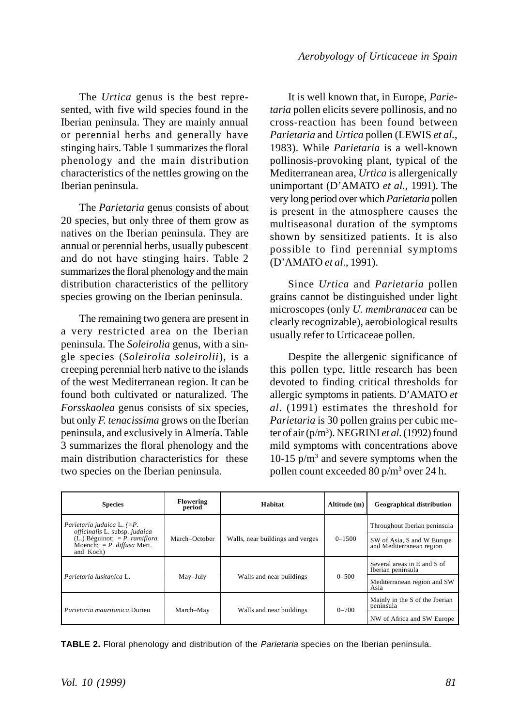The *Urtica* genus is the best represented, with five wild species found in the Iberian peninsula. They are mainly annual or perennial herbs and generally have stinging hairs. Table 1 summarizes the floral phenology and the main distribution characteristics of the nettles growing on the Iberian peninsula.

The *Parietaria* genus consists of about 20 species, but only three of them grow as natives on the Iberian peninsula. They are annual or perennial herbs, usually pubescent and do not have stinging hairs. Table 2 summarizes the floral phenology and the main distribution characteristics of the pellitory species growing on the Iberian peninsula.

The remaining two genera are present in a very restricted area on the Iberian peninsula. The *Soleirolia* genus, with a single species (*Soleirolia soleirolii*), is a creeping perennial herb native to the islands of the west Mediterranean region. It can be found both cultivated or naturalized. The *Forsskaolea* genus consists of six species, but only *F. tenacissima* grows on the Iberian peninsula, and exclusively in Almería. Table 3 summarizes the floral phenology and the main distribution characteristics for these two species on the Iberian peninsula.

It is well known that, in Europe, *Parietaria* pollen elicits severe pollinosis, and no cross-reaction has been found between *Parietaria* and *Urtica* pollen (LEWIS *et al.*, 1983). While *Parietaria* is a well-known pollinosis-provoking plant, typical of the Mediterranean area, *Urtica* is allergenically unimportant (D'AMATO *et al*., 1991). The very long period over which *Parietaria* pollen is present in the atmosphere causes the multiseasonal duration of the symptoms shown by sensitized patients. It is also possible to find perennial symptoms (D'AMATO *et al*., 1991).

Since *Urtica* and *Parietaria* pollen grains cannot be distinguished under light microscopes (only *U. membranacea* can be clearly recognizable), aerobiological results usually refer to Urticaceae pollen.

Despite the allergenic significance of this pollen type, little research has been devoted to finding critical thresholds for allergic symptoms in patients. D'AMATO *et al*. (1991) estimates the threshold for *Parietaria* is 30 pollen grains per cubic meter of air (p/m3 ). NEGRINI *et al*. (1992) found mild symptoms with concentrations above 10-15 p/m3 and severe symptoms when the pollen count exceeded 80 p/m3 over 24 h.

| <b>Species</b>                                                               | Flowering<br>period | Habitat                          | Altitude (m) | <b>Geographical distribution</b>                       |  |
|------------------------------------------------------------------------------|---------------------|----------------------------------|--------------|--------------------------------------------------------|--|
| Parietaria judaica L. $(=P.$<br>officinalis L. subsp. judaica                |                     |                                  |              | Throughout Iberian peninsula                           |  |
| $(L1)$ Béguinot; = P. ramiflora<br>Moench; $= P.$ diffusa Mert.<br>and Koch) | March-October       | Walls, near buildings and verges | $0 - 1500$   | SW of Asia, S and W Europe<br>and Mediterranean region |  |
|                                                                              |                     |                                  |              | Several areas in E and S of<br>Iberian peninsula       |  |
| Parietaria lusitanica L.                                                     | May-July            | Walls and near buildings         | $0 - 500$    | Mediterranean region and SW<br>Asia                    |  |
| Parietaria mauritanica Durieu                                                | March-May           | Walls and near buildings         | $0 - 700$    | Mainly in the S of the Iberian<br>peninsula            |  |
|                                                                              |                     |                                  |              | NW of Africa and SW Europe                             |  |

**TABLE 2.** Floral phenology and distribution of the Parietaria species on the Iberian peninsula.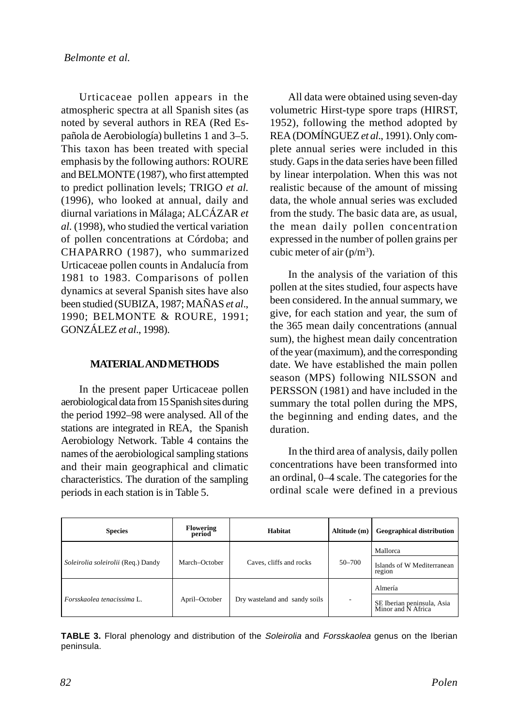Urticaceae pollen appears in the atmospheric spectra at all Spanish sites (as noted by several authors in REA (Red Española de Aerobiología) bulletins 1 and 3–5. This taxon has been treated with special emphasis by the following authors: ROURE and BELMONTE (1987), who first attempted to predict pollination levels; TRIGO *et al.* (1996), who looked at annual, daily and diurnal variations in Málaga; ALCÁZAR *et al.* (1998), who studied the vertical variation of pollen concentrations at Córdoba; and CHAPARRO (1987), who summarized Urticaceae pollen counts in Andalucía from 1981 to 1983. Comparisons of pollen dynamics at several Spanish sites have also been studied (SUBIZA, 1987; MAÑAS *et al*., 1990; BELMONTE & ROURE, 1991; GONZÁLEZ *et al*., 1998).

# **MATERIAL AND METHODS**

In the present paper Urticaceae pollen aerobiological data from 15 Spanish sites during the period 1992–98 were analysed. All of the stations are integrated in REA, the Spanish Aerobiology Network. Table 4 contains the names of the aerobiological sampling stations and their main geographical and climatic characteristics. The duration of the sampling periods in each station is in Table 5.

All data were obtained using seven-day volumetric Hirst-type spore traps (HIRST, 1952), following the method adopted by REA (DOMÍNGUEZ *et al*., 1991). Only complete annual series were included in this study. Gaps in the data series have been filled by linear interpolation. When this was not realistic because of the amount of missing data, the whole annual series was excluded from the study. The basic data are, as usual, the mean daily pollen concentration expressed in the number of pollen grains per cubic meter of air  $(p/m^3)$ .

In the analysis of the variation of this pollen at the sites studied, four aspects have been considered. In the annual summary, we give, for each station and year, the sum of the 365 mean daily concentrations (annual sum), the highest mean daily concentration of the year (maximum), and the corresponding date. We have established the main pollen season (MPS) following NILSSON and PERSSON (1981) and have included in the summary the total pollen during the MPS, the beginning and ending dates, and the duration.

In the third area of analysis, daily pollen concentrations have been transformed into an ordinal, 0–4 scale. The categories for the ordinal scale were defined in a previous

| <b>Species</b>                     | <b>Flowering</b><br>period | Habitat                       | Altitude (m) | <b>Geographical distribution</b>                            |  |
|------------------------------------|----------------------------|-------------------------------|--------------|-------------------------------------------------------------|--|
| Soleirolia soleirolii (Req.) Dandy | March-October              | Caves, cliffs and rocks       | 50-700       | Mallorca<br>Islands of W Mediterranean<br>region            |  |
| Forsskaolea tenacissima L.         | April–October              | Dry wasteland and sandy soils | ٠            | Almería<br>SE Iberian peninsula, Asia<br>Minor and N Africa |  |

**TABLE 3.** Floral phenology and distribution of the Soleirolia and Forsskaolea genus on the Iberian peninsula.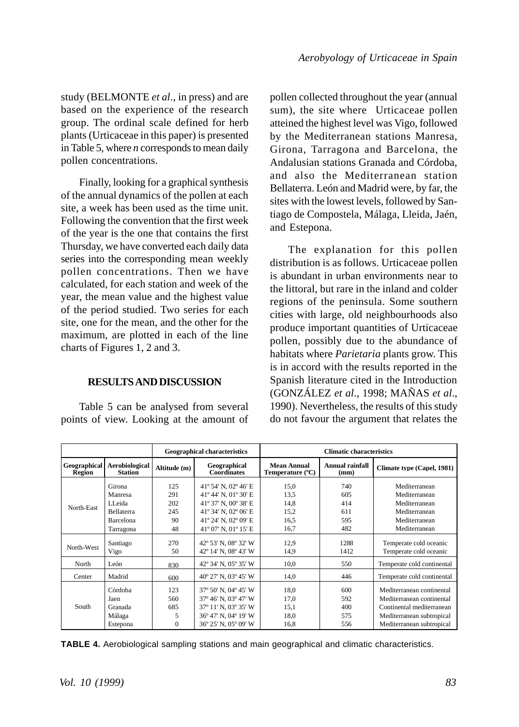study (BELMONTE *et al*., in press) and are based on the experience of the research group. The ordinal scale defined for herb plants (Urticaceae in this paper) is presented in Table 5, where *n* corresponds to mean daily pollen concentrations.

Finally, looking for a graphical synthesis of the annual dynamics of the pollen at each site, a week has been used as the time unit. Following the convention that the first week of the year is the one that contains the first Thursday, we have converted each daily data series into the corresponding mean weekly pollen concentrations. Then we have calculated, for each station and week of the year, the mean value and the highest value of the period studied. Two series for each site, one for the mean, and the other for the maximum, are plotted in each of the line charts of Figures 1, 2 and 3.

# **RESULTS AND DISCUSSION**

Table 5 can be analysed from several points of view. Looking at the amount of pollen collected throughout the year (annual sum), the site where Urticaceae pollen atteined the highest level was Vigo, followed by the Mediterranean stations Manresa, Girona, Tarragona and Barcelona, the Andalusian stations Granada and Córdoba, and also the Mediterranean station Bellaterra. León and Madrid were, by far, the sites with the lowest levels, followed by Santiago de Compostela, Málaga, Lleida, Jaén, and Estepona.

The explanation for this pollen distribution is as follows. Urticaceae pollen is abundant in urban environments near to the littoral, but rare in the inland and colder regions of the peninsula. Some southern cities with large, old neighbourhoods also produce important quantities of Urticaceae pollen, possibly due to the abundance of habitats where *Parietaria* plants grow. This is in accord with the results reported in the Spanish literature cited in the Introduction (GONZÁLEZ *et al*., 1998; MAÑAS *et al*., 1990). Nevertheless, the results of this study do not favour the argument that relates the

|                                                            |                                                                |                                    | <b>Geographical characteristics</b>                                                                                  | <b>Climatic characteristics</b>      |                                 |                                                                                                                                               |  |  |
|------------------------------------------------------------|----------------------------------------------------------------|------------------------------------|----------------------------------------------------------------------------------------------------------------------|--------------------------------------|---------------------------------|-----------------------------------------------------------------------------------------------------------------------------------------------|--|--|
| Geographical<br>Aerobiological<br><b>Station</b><br>Region |                                                                | Altitude (m)                       | Geographical<br><b>Coordinates</b>                                                                                   | Mean Annual<br>Temperature (°C)      | Annual rainfall<br>(mm)         | Climate type (Capel, 1981)                                                                                                                    |  |  |
| North-East                                                 | Girona<br>Manresa<br>LL eida<br><b>Bellaterra</b><br>Barcelona | 125<br>291<br>202<br>245<br>90     | 41° 54' N, 02° 46' E<br>41° 44' N, 01° 30' E<br>41° 37' N, 00° 38' E<br>41° 34' N, 02° 06' E<br>41° 24' N, 02° 09' E | 15,0<br>13,5<br>14,8<br>15,2<br>16.5 | 740<br>605<br>414<br>611<br>595 | Mediterranean<br>Mediterranean<br>Mediterranean<br>Mediterranean<br>Mediterranean                                                             |  |  |
|                                                            | Tarragona                                                      | 48                                 | 41° 07' N, 01° 15' E                                                                                                 | 16.7                                 | 482                             | Mediterranean                                                                                                                                 |  |  |
| North-West                                                 | Santiago<br>Vigo                                               | 270<br>50                          | 42° 53' N, 08° 32' W<br>42° 14' N, 08° 43' W                                                                         | 12,9<br>14,9                         | 1288<br>1412                    | Temperate cold oceanic<br>Temperate cold oceanic                                                                                              |  |  |
| North                                                      | León                                                           | 830                                | 42° 34' N, 05° 35' W                                                                                                 | 10.0                                 | 550                             | Temperate cold continental                                                                                                                    |  |  |
| Center                                                     | Madrid                                                         | 600                                | 40° 27' N, 03° 45' W                                                                                                 | 14,0                                 | 446                             | Temperate cold continental                                                                                                                    |  |  |
| South                                                      | Córdoba<br>Jaen<br>Granada<br>Málaga<br>Estepona               | 123<br>560<br>685<br>5<br>$\Omega$ | 37° 50' N, 04° 45' W<br>37° 46' N, 03° 47' W<br>37° 11' N, 03° 35' W<br>36° 47' N, 04° 19' W<br>36° 25' N, 05° 09' W | 18.0<br>17,0<br>15.1<br>18,0<br>16,8 | 600<br>592<br>400<br>575<br>556 | Mediterranean continental<br>Mediterranean continental<br>Continental mediterranean<br>Mediterranean subtropical<br>Mediterranean subtropical |  |  |

**TABLE 4.** Aerobiological sampling stations and main geographical and climatic characteristics.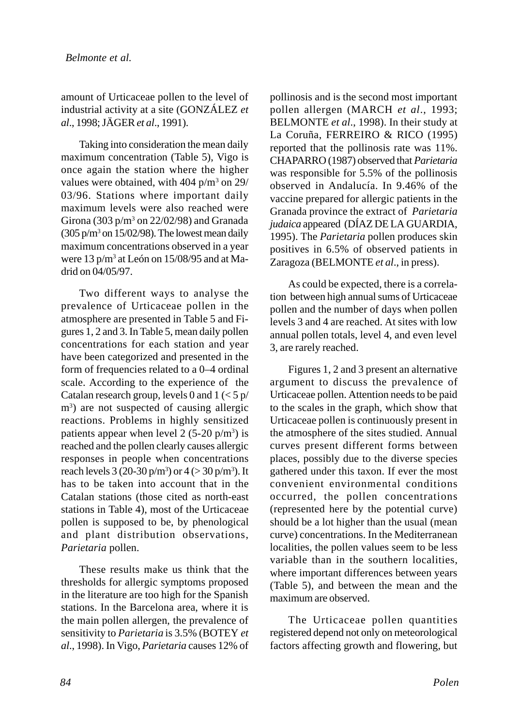amount of Urticaceae pollen to the level of industrial activity at a site (GONZÁLEZ *et al*., 1998; JÄGER *et al*., 1991).

Taking into consideration the mean daily maximum concentration (Table 5), Vigo is once again the station where the higher values were obtained, with  $404$  p/m<sup>3</sup> on  $29/$ 03/96. Stations where important daily maximum levels were also reached were Girona (303 p/m<sup>3</sup> on 22/02/98) and Granada  $(305 \text{ p/m}^3 \text{ on } 15/02/98)$ . The lowest mean daily maximum concentrations observed in a year were 13 p/m<sup>3</sup> at León on 15/08/95 and at Madrid on 04/05/97.

Two different ways to analyse the prevalence of Urticaceae pollen in the atmosphere are presented in Table 5 and Figures 1, 2 and 3. In Table 5, mean daily pollen concentrations for each station and year have been categorized and presented in the form of frequencies related to a 0–4 ordinal scale. According to the experience of the Catalan research group, levels 0 and  $1 \leq 5 \frac{p}{2}$ m<sup>3</sup>) are not suspected of causing allergic reactions. Problems in highly sensitized patients appear when level 2  $(5\n-20 \text{ p/m}^3)$  is reached and the pollen clearly causes allergic responses in people when concentrations reach levels  $3(20-30 \text{ p/m}^3)$  or  $4 (> 30 \text{ p/m}^3)$ . It has to be taken into account that in the Catalan stations (those cited as north-east stations in Table 4), most of the Urticaceae pollen is supposed to be, by phenological and plant distribution observations, *Parietaria* pollen.

These results make us think that the thresholds for allergic symptoms proposed in the literature are too high for the Spanish stations. In the Barcelona area, where it is the main pollen allergen, the prevalence of sensitivity to *Parietaria* is 3.5% (BOTEY *et al*., 1998). In Vigo, *Parietaria* causes 12% of pollinosis and is the second most important pollen allergen (MARCH *et al*., 1993; BELMONTE *et al*., 1998). In their study at La Coruña, FERREIRO & RICO (1995) reported that the pollinosis rate was 11%. CHAPARRO (1987) observed that *Parietaria* was responsible for 5.5% of the pollinosis observed in Andalucía. In 9.46% of the vaccine prepared for allergic patients in the Granada province the extract of *Parietaria judaica* appeared (DÍAZ DE LA GUARDIA, 1995). The *Parietaria* pollen produces skin positives in 6.5% of observed patients in Zaragoza (BELMONTE *et al*., in press).

As could be expected, there is a correlation between high annual sums of Urticaceae pollen and the number of days when pollen levels 3 and 4 are reached. At sites with low annual pollen totals, level 4, and even level 3, are rarely reached.

Figures 1, 2 and 3 present an alternative argument to discuss the prevalence of Urticaceae pollen. Attention needs to be paid to the scales in the graph, which show that Urticaceae pollen is continuously present in the atmosphere of the sites studied. Annual curves present different forms between places, possibly due to the diverse species gathered under this taxon. If ever the most convenient environmental conditions occurred, the pollen concentrations (represented here by the potential curve) should be a lot higher than the usual (mean curve) concentrations. In the Mediterranean localities, the pollen values seem to be less variable than in the southern localities, where important differences between years (Table 5), and between the mean and the maximum are observed.

The Urticaceae pollen quantities registered depend not only on meteorological factors affecting growth and flowering, but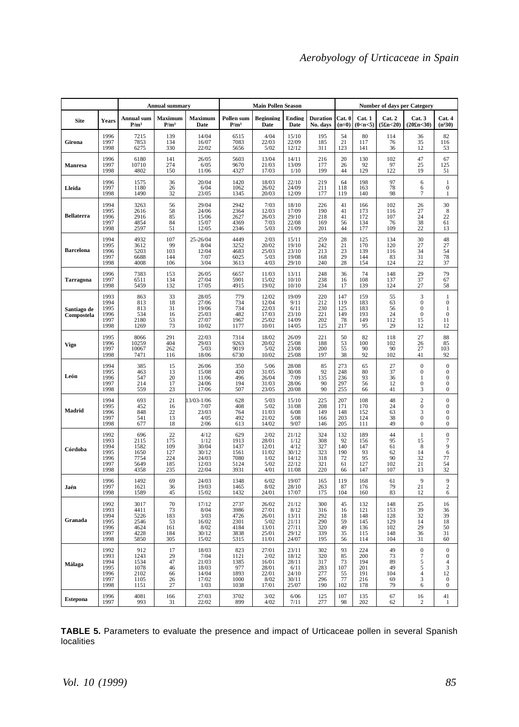|                           |                                                      | <b>Annual summary</b>                                |                                              | <b>Main Pollen Season</b>                                 |                                                      |                                                            | <b>Number of days per Category</b>                         |                                               |                                                 |                                               |                                               |                                                                                 |                                                                                          |
|---------------------------|------------------------------------------------------|------------------------------------------------------|----------------------------------------------|-----------------------------------------------------------|------------------------------------------------------|------------------------------------------------------------|------------------------------------------------------------|-----------------------------------------------|-------------------------------------------------|-----------------------------------------------|-----------------------------------------------|---------------------------------------------------------------------------------|------------------------------------------------------------------------------------------|
| <b>Site</b>               | Years                                                | <b>Annual</b> sum<br>P/m <sup>3</sup>                | Maximum<br>P/m <sup>3</sup>                  | Maximum<br>Date                                           | Pollen sum<br>P/m <sup>3</sup>                       | <b>Beginning</b><br>Date                                   | Ending<br>Date                                             | <b>Duration</b><br>No. days                   | Cat. 0<br>$(n=0)$                               | Cat. 1<br>(0 <sub>cn&lt;5)</sub>              | Cat. 2<br>(5fn<20)                            | Cat. 3<br>(20fn<30)                                                             | Cat. 4<br>$(n^{3}30)$                                                                    |
| Girona                    | 1996<br>1997<br>1998                                 | 7215<br>7853<br>6275                                 | 139<br>134<br>330                            | 14/04<br>16/07<br>22/02                                   | 6515<br>7083<br>5656                                 | 4/04<br>22/03<br>5/02                                      | 15/10<br>22/09<br>12/12                                    | 195<br>185<br>311                             | 54<br>21<br>123                                 | 80<br>117<br>141                              | 114<br>76<br>36                               | $\frac{36}{35}$<br>12                                                           | 82<br>116<br>53                                                                          |
| Manresa                   | 1996<br>1997<br>1998                                 | 6180<br>10710<br>4802                                | 141<br>274<br>150                            | 26/05<br>6/05<br>11/06                                    | 5603<br>9670<br>4327                                 | 13/04<br>21/03<br>17/03                                    | 14/11<br>13/09<br>1/10                                     | 216<br>177<br>199                             | 20<br>26<br>44                                  | 130<br>92<br>129                              | 102<br>97<br>122                              | 47<br>25<br>19                                                                  | 67<br>125<br>51                                                                          |
| Lleida                    | 1996<br>1997<br>1998                                 | 1575<br>1180<br>1490                                 | 36<br>26<br>32                               | 20/04<br>6/04<br>23/05                                    | 1420<br>1062<br>1345                                 | 18/03<br>26/02<br>20/03                                    | 22/10<br>24/09<br>12/09                                    | 219<br>211<br>177                             | 64<br>118<br>119                                | 198<br>163<br>140                             | 97<br>78<br>98                                | 6<br>6<br>7                                                                     | $\,1$<br>$\boldsymbol{0}$<br>1                                                           |
| <b>Bellaterra</b>         | 1994<br>1995<br>1996<br>1997<br>1998                 | 3263<br>2616<br>2916<br>4854<br>2597                 | 56<br>58<br>85<br>84<br>51                   | 29/04<br>24/06<br>15/06<br>15/07<br>12/05                 | 2942<br>2364<br>2627<br>4369<br>2346                 | 7/03<br>12/03<br>26/03<br>7/03<br>5/03                     | 18/10<br>17/09<br>29/10<br>22/08<br>21/09                  | 226<br>190<br>218<br>169<br>201               | 41<br>41<br>41<br>56<br>44                      | 166<br>173<br>172<br>134<br>177               | 102<br>116<br>107<br>76<br>109                | $\frac{26}{27}$<br>24<br>38<br>22                                               | 30<br>8<br>22<br>61<br>13                                                                |
| <b>Barcelona</b>          | 1994<br>1995<br>1996<br>1997<br>1998                 | 4932<br>3612<br>5203<br>6688<br>4008                 | 107<br>99<br>103<br>144<br>106               | 25-26/04<br>8/04<br>12/04<br>7/07<br>3/04                 | 4449<br>3252<br>4683<br>6025<br>3613                 | 2/03<br>20/02<br>25/03<br>5/03<br>4/03                     | 15/11<br>19/10<br>23/10<br>19/08<br>29/10                  | 259<br>242<br>213<br>168<br>240               | 28<br>$\frac{21}{23}$<br>23<br>28               | 125<br>170<br>139<br>144<br>154               | 134<br>120<br>116<br>83<br>124                | 30<br>$\frac{27}{34}$<br>31<br>22                                               | 48<br>$\frac{27}{54}$<br>78<br>37                                                        |
| Tarragona                 | 1996<br>1997<br>1998                                 | 7383<br>6511<br>5459                                 | 153<br>134<br>132                            | 26/05<br>27/04<br>17/05                                   | 6657<br>5901<br>4915                                 | 11/03<br>15/02<br>19/02                                    | 13/11<br>10/10<br>10/10                                    | 248<br>238<br>234                             | 36<br>16<br>17                                  | 74<br>108<br>139                              | 148<br>137<br>124                             | 29<br>37<br>27                                                                  | 79<br>67<br>58                                                                           |
| Santiago de<br>Compostela | 1993<br>1994<br>1995<br>1996<br>1997<br>1998         | 863<br>813<br>813<br>534<br>2180<br>1269             | 33<br>18<br>31<br>16<br>53<br>73             | 28/05<br>27/06<br>19/06<br>25/03<br>27/07<br>10/02        | 779<br>734<br>734<br>482<br>1967<br>1177             | 12/02<br>12/04<br>22/03<br>17/03<br>25/02<br>10/01         | 19/09<br>9/11<br>6/11<br>23/10<br>14/09<br>14/05           | 220<br>212<br>230<br>221<br>202<br>125        | 147<br>119<br>125<br>149<br>78<br>217           | 159<br>183<br>183<br>193<br>149<br>95         | 55<br>63<br>56<br>24<br>112<br>29             | 3<br>$\boldsymbol{0}$<br>$\boldsymbol{0}$<br>0<br>15<br>12                      | $\mathbf{1}$<br>$\boldsymbol{0}$<br>1<br>$\bf{0}$<br>11<br>12                            |
| Vigo                      | 1995<br>1996<br>1997<br>1998                         | 8066<br>10259<br>10067<br>7471                       | 291<br>404<br>262<br>116                     | 22/03<br>29/03<br>5/03<br>18/06                           | 7314<br>9263<br>9019<br>6730                         | 18/02<br>20/02<br>5/02<br>10/02                            | 26/09<br>25/08<br>23/08<br>25/08                           | 221<br>188<br>200<br>197                      | 50<br>53<br>55<br>38                            | 82<br>100<br>90<br>92                         | 118<br>102<br>90<br>102                       | 27<br>26<br>27<br>41                                                            | 88<br>85<br>103<br>92                                                                    |
| León                      | 1994<br>1995<br>1996<br>1997<br>1998                 | 385<br>463<br>547<br>214<br>559                      | 15<br>13<br>20<br>17<br>23                   | 26/06<br>15/08<br>11/06<br>24/06<br>17/06                 | 350<br>420<br>496<br>194<br>507                      | 5/06<br>31/05<br>26/04<br>31/03<br>23/05                   | 28/08<br>30/08<br>7/09<br>28/06<br>20/08                   | 85<br>92<br>135<br>90<br>90                   | 273<br>$\frac{248}{236}$<br>297<br>255          | 65<br>80<br>93<br>56<br>66                    | 27<br>37<br>36<br>12<br>41                    | $\boldsymbol{0}$<br>$\boldsymbol{0}$<br>1<br>$\mathbf{0}$<br>3                  | $\bf{0}$<br>$\bf{0}$<br>$\bf{0}$<br>$\mathbf{0}$<br>$\bf{0}$                             |
| Madrid                    | 1994<br>1995<br>1996<br>1997<br>1998                 | 693<br>452<br>848<br>541<br>677                      | 21<br>16<br>22<br>13<br>18                   | 13/03-1/06<br>7/07<br>23/03<br>4/05<br>2/06               | 628<br>408<br>764<br>492<br>613                      | 5/03<br>5/02<br>11/03<br>21/02<br>14/02                    | 15/10<br>31/08<br>6/08<br>5/08<br>9/07                     | 225<br>208<br>149<br>166<br>146               | 207<br>171<br>148<br>203<br>205                 | 108<br>170<br>152<br>124<br>111               | 48<br>24<br>63<br>38<br>49                    | $\overline{c}$<br>$\boldsymbol{0}$<br>3<br>$\boldsymbol{0}$<br>$\boldsymbol{0}$ | $\boldsymbol{0}$<br>$\bf{0}$<br>$\bf{0}$<br>$\boldsymbol{0}$<br>$\bf{0}$                 |
| Córdoba                   | 1992<br>1993<br>1994<br>1995<br>1996<br>1997<br>1998 | 696<br>2115<br>1582<br>1650<br>7754<br>5649<br>4358  | 22<br>175<br>109<br>127<br>224<br>185<br>235 | 4/12<br>1/12<br>30/04<br>30/12<br>24/03<br>12/03<br>22/04 | 629<br>1913<br>1437<br>1561<br>7080<br>5124<br>3931  | 2/02<br>28/01<br>12/01<br>11/02<br>1/02<br>5/02<br>4/01    | 21/12<br>1/12<br>4/12<br>30/12<br>14/12<br>22/12<br>11/08  | 324<br>308<br>327<br>323<br>318<br>321<br>220 | 132<br>92<br>140<br>190<br>72<br>61<br>66       | 189<br>156<br>147<br>93<br>95<br>127<br>147   | 44<br>95<br>61<br>62<br>90<br>102<br>107      | 1<br>15<br>8<br>14<br>$\frac{32}{21}$<br>13                                     | $\boldsymbol{0}$<br>7<br>9<br>6<br>77<br>54<br>32                                        |
| Jaén                      | 1996<br>1997<br>1998                                 | 1492<br>1621<br>1589                                 | 69<br>36<br>45                               | 24/03<br>19/03<br>15/02                                   | 1348<br>1465<br>1432                                 | 6/02<br>8/02<br>24/01                                      | 19/07<br>28/10<br>17/07                                    | 165<br>263<br>175                             | 119<br>87<br>104                                | 168<br>176<br>160                             | 61<br>79<br>83                                | 9<br>21<br>12                                                                   | 9<br>$\sqrt{2}$<br>6                                                                     |
| Granada                   | 1992<br>1993<br>1994<br>1995<br>1996<br>1997<br>1998 | 3017<br>4411<br>5226<br>2546<br>4624<br>4228<br>5850 | 70<br>73<br>183<br>53<br>161<br>184<br>305   | 17/12<br>8/04<br>3/03<br>16/02<br>8/02<br>30/12<br>15/02  | 2737<br>3986<br>4726<br>2301<br>4184<br>3838<br>5315 | 26/02<br>27/01<br>26/01<br>5/02<br>13/01<br>25/01<br>11/01 | 21/12<br>8/12<br>13/11<br>21/11<br>27/11<br>29/12<br>24/07 | 300<br>316<br>292<br>290<br>320<br>339<br>195 | 45<br>16<br>18<br>59<br>49<br>35<br>56          | 132<br>121<br>148<br>145<br>136<br>115<br>114 | 148<br>153<br>128<br>129<br>102<br>148<br>104 | 25<br>39<br>32<br>14<br>29<br>36<br>31                                          | 16<br>36<br>39<br>18<br>50<br>31<br>60                                                   |
| Málaga                    | 1992<br>1993<br>1994<br>1995<br>1996<br>1997<br>1998 | 912<br>1243<br>1534<br>1078<br>2102<br>1105<br>1151  | 17<br>29<br>47<br>46<br>66<br>26<br>27       | 18/03<br>7/04<br>21/03<br>18/03<br>14/04<br>17/02<br>1/03 | 823<br>1121<br>1385<br>977<br>1893<br>1000<br>1038   | 27/01<br>2/02<br>16/01<br>28/01<br>22/01<br>8/02<br>17/01  | 23/11<br>18/12<br>28/11<br>6/11<br>24/10<br>30/11<br>25/07 | 302<br>320<br>317<br>283<br>277<br>296<br>190 | 93<br>85<br>73<br>107<br>$\frac{55}{77}$<br>102 | 224<br>200<br>194<br>201<br>191<br>216<br>178 | 49<br>73<br>89<br>49<br>104<br>69<br>79       | $\boldsymbol{0}$<br>7<br>5<br>$\overline{\mathbf{5}}$<br>4<br>3<br>6            | $\mathbf{0}$<br>$\bf{0}$<br>$\overline{4}$<br>$\frac{3}{12}$<br>$\mathbf{0}$<br>$\bf{0}$ |
| <b>Estepona</b>           | 1996<br>1997                                         | 4081<br>993                                          | 166<br>31                                    | 27/03<br>22/02                                            | 3702<br>899                                          | 3/02<br>4/02                                               | 6/06<br>7/11                                               | 125<br>277                                    | 107<br>98                                       | 135<br>202                                    | 67<br>62                                      | 16<br>2                                                                         | 41<br>1                                                                                  |

**TABLE 5.** Parameters to evaluate the presence and impact of Urticaceae pollen in several Spanish localities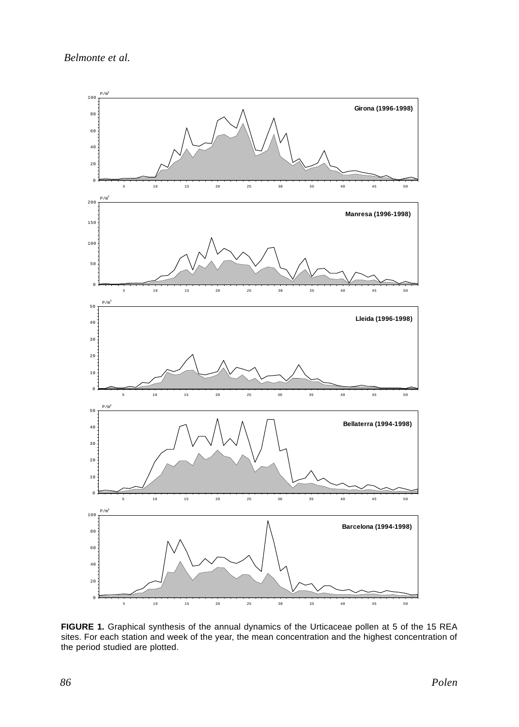

**FIGURE 1.** Graphical synthesis of the annual dynamics of the Urticaceae pollen at 5 of the 15 REA sites. For each station and week of the year, the mean concentration and the highest concentration of the period studied are plotted.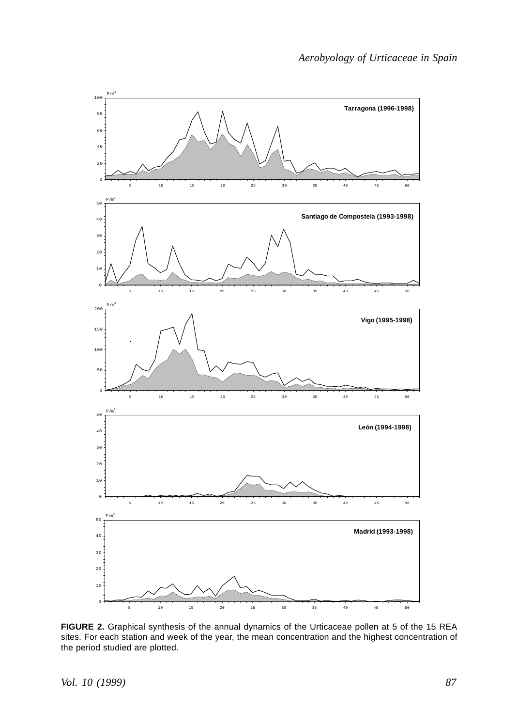

**FIGURE 2.** Graphical synthesis of the annual dynamics of the Urticaceae pollen at 5 of the 15 REA sites. For each station and week of the year, the mean concentration and the highest concentration of the period studied are plotted.

*Vol. 10 (1999)*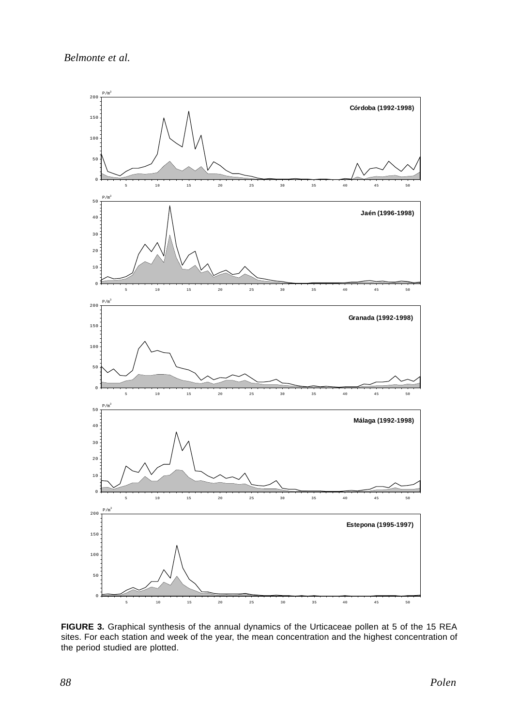

**FIGURE 3.** Graphical synthesis of the annual dynamics of the Urticaceae pollen at 5 of the 15 REA sites. For each station and week of the year, the mean concentration and the highest concentration of the period studied are plotted.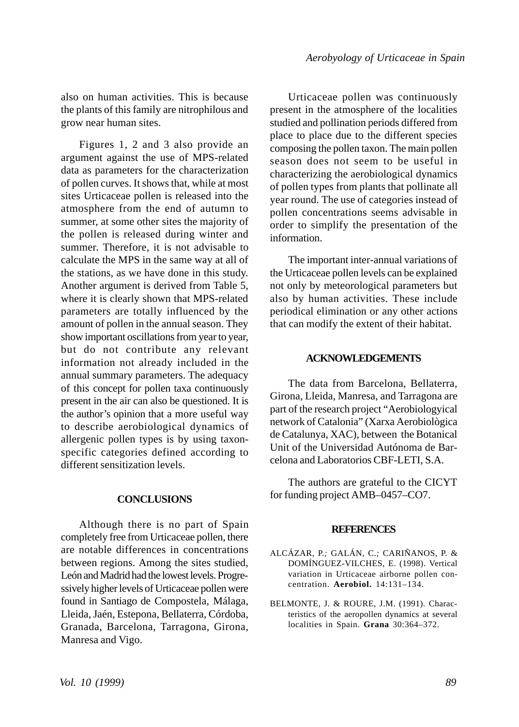also on human activities. This is because the plants of this family are nitrophilous and grow near human sites.

Figures 1, 2 and 3 also provide an argument against the use of MPS-related data as parameters for the characterization of pollen curves. It shows that, while at most sites Urticaceae pollen is released into the atmosphere from the end of autumn to summer, at some other sites the majority of the pollen is released during winter and summer. Therefore, it is not advisable to calculate the MPS in the same way at all of the stations, as we have done in this study. Another argument is derived from Table 5, where it is clearly shown that MPS-related parameters are totally influenced by the amount of pollen in the annual season. They show important oscillations from year to year, but do not contribute any relevant information not already included in the annual summary parameters. The adequacy of this concept for pollen taxa continuously present in the air can also be questioned. It is the author's opinion that a more useful way to describe aerobiological dynamics of allergenic pollen types is by using taxonspecific categories defined according to different sensitization levels.

### **CONCLUSIONS**

Although there is no part of Spain completely free from Urticaceae pollen, there are notable differences in concentrations between regions. Among the sites studied, León and Madrid had the lowest levels. Progressively higher levels of Urticaceae pollen were found in Santiago de Compostela, Málaga, Lleida, Jaén, Estepona, Bellaterra, Córdoba, Granada, Barcelona, Tarragona, Girona, Manresa and Vigo.

Urticaceae pollen was continuously present in the atmosphere of the localities studied and pollination periods differed from place to place due to the different species composing the pollen taxon. The main pollen season does not seem to be useful in characterizing the aerobiological dynamics of pollen types from plants that pollinate all year round. The use of categories instead of pollen concentrations seems advisable in order to simplify the presentation of the information.

The important inter-annual variations of the Urticaceae pollen levels can be explained not only by meteorological parameters but also by human activities. These include periodical elimination or any other actions that can modify the extent of their habitat.

#### **ACKNOWLEDGEMENTS**

The data from Barcelona, Bellaterra, Girona, Lleida, Manresa, and Tarragona are part of the research project "Aerobiologyical network of Catalonia" (Xarxa Aerobiològica de Catalunya, XAC), between the Botanical Unit of the Universidad Autónoma de Barcelona and Laboratorios CBF-LETI, S.A.

The authors are grateful to the CICYT for funding project AMB–0457–CO7.

#### **REFERENCES**

- ALCÁZAR, P.*;* GALÁN, C.*;* CARIÑANOS, P. & DOMÍNGUEZ-VILCHES, E. (1998). Vertical variation in Urticaceae airborne pollen concentration. **Aerobiol.** 14:131–134.
- BELMONTE, J. & ROURE, J.M. (1991). Characteristics of the aeropollen dynamics at several localities in Spain. **Grana** 30:364–372.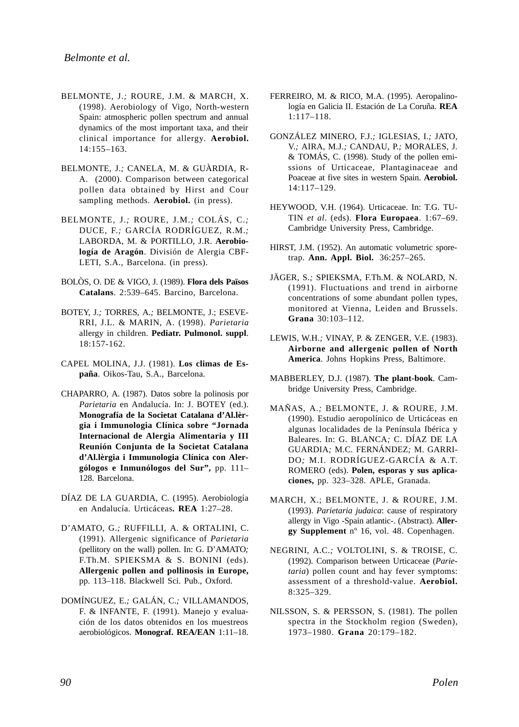- BELMONTE, J.*;* ROURE, J.M. & MARCH, X. (1998). Aerobiology of Vigo, North-western Spain: atmospheric pollen spectrum and annual dynamics of the most important taxa, and their clinical importance for allergy. **Aerobiol.** 14:155–163.
- BELMONTE, J.*;* CANELA, M. & GUÀRDIA, R-A. (2000). Comparison between categorical pollen data obtained by Hirst and Cour sampling methods. **Aerobiol.** (in press).
- BELMONTE, J.*;* ROURE, J.M.*;* COLÁS, C.*;* DUCE, F.*;* GARCÍA RODRÍGUEZ, R.M.*;* LABORDA, M. & PORTILLO, J.R. **Aerobiología de Aragón**. División de Alergia CBF-LETI, S.A., Barcelona. (in press).
- BOLÒS, O. DE & VIGO, J. (1989). **Flora dels Països Catalans**. 2:539–645. Barcino, Barcelona.
- BOTEY, J.*;* TORRES, A.*;* BELMONTE, J.; ESEVE-RRI, J.L. & MARIN, A. (1998). *Parietaria* allergy in children. **Pediatr. Pulmonol. suppl**. 18:157-162.
- CAPEL MOLINA, J.J. (1981). **Los climas de España**. Oikos-Tau, S.A., Barcelona.
- CHAPARRO, A. (1987). Datos sobre la polinosis por *Parietaria* en Andalucía. In: J. BOTEY (ed.). **Monografía de la Societat Catalana d'Al.lèrgia i Immunologia Clínica sobre "Jornada Internacional de Alergia Alimentaria y III Reunión Conjunta de la Societat Catalana d'Al.lèrgia i Immunologia Clínica con Alergólogos e Inmunólogos del Sur",** pp. 111– 128. Barcelona.
- DÍAZ DE LA GUARDIA, C. (1995). Aerobiología en Andalucía. Urticáceas**. REA** 1:27–28.
- D'AMATO, G.*;* RUFFILLI, A. & ORTALINI, C. (1991). Allergenic significance of *Parietaria* (pellitory on the wall) pollen. In: G. D'AMATO*;* F.Th.M. SPIEKSMA & S. BONINI (eds). **Allergenic pollen and pollinosis in Europe,** pp. 113–118. Blackwell Sci. Pub., Oxford.
- DOMÍNGUEZ, E.*;* GALÁN, C.*;* VILLAMANDOS, F. & INFANTE, F. (1991). Manejo y evaluación de los datos obtenidos en los muestreos aerobiológicos. **Monograf. REA/EAN** 1:11–18.
- FERREIRO, M. & RICO, M.A. (1995). Aeropalinología en Galicia II. Estación de La Coruña. **REA** 1:117–118.
- GONZÁLEZ MINERO, F.J.*;* IGLESIAS, I.*;* JATO, V.*;* AIRA, M.J.*;* CANDAU, P.*;* MORALES, J. & TOMÁS, C. (1998). Study of the pollen emissions of Urticaceae, Plantaginaceae and Poaceae at five sites in western Spain. **Aerobiol.** 14:117–129.
- HEYWOOD, V.H. (1964). Urticaceae. In: T.G. TU-TIN *et al*. (eds). **Flora Europaea**. 1:67–69. Cambridge University Press, Cambridge.
- HIRST, J.M. (1952). An automatic volumetric sporetrap. **Ann. Appl. Biol..** 36:257–265.
- JÄGER, S.*;* SPIEKSMA, F.Th.M. & NOLARD, N. (1991). Fluctuations and trend in airborne concentrations of some abundant pollen types, monitored at Vienna, Leiden and Brussels. **Grana** 30:103–112.
- LEWIS, W.H.*;* VINAY, P. & ZENGER, V.E. (1983). **Airborne and allergenic pollen of North America**. Johns Hopkins Press, Baltimore.
- MABBERLEY, D.J. (1987). **The plant-book**. Cambridge University Press, Cambridge.
- MAÑAS, A.*;* BELMONTE, J. & ROURE, J.M. (1990). Estudio aeropolínico de Urticáceas en algunas localidades de la Península Ibérica y Baleares. In: G. BLANCA*;* C. DÍAZ DE LA GUARDIA*;* M.C. FERNÁNDEZ*;* M. GARRI-DO*;* M.I. RODRÍGUEZ-GARCÍA & A.T. ROMERO (eds). **Polen, esporas y sus aplicaciones,** pp. 323–328. APLE, Granada.
- MARCH, X.; BELMONTE, J. & ROURE, J.M. (1993). *Parietaria judaica*: cause of respiratory allergy in Vigo -Spain atlantic-. (Abstract). **Allergy Supplement** nº 16, vol. 48. Copenhagen.
- NEGRINI, A.C.*;* VOLTOLINI, S. & TROISE, C. (1992). Comparison between Urticaceae (*Parietaria*) pollen count and hay fever symptoms: assessment of a threshold-value. **Aerobiol.** 8:325–329.
- NILSSON, S. & PERSSON, S. (1981). The pollen spectra in the Stockholm region (Sweden), 1973–1980. **Grana** 20:179–182.